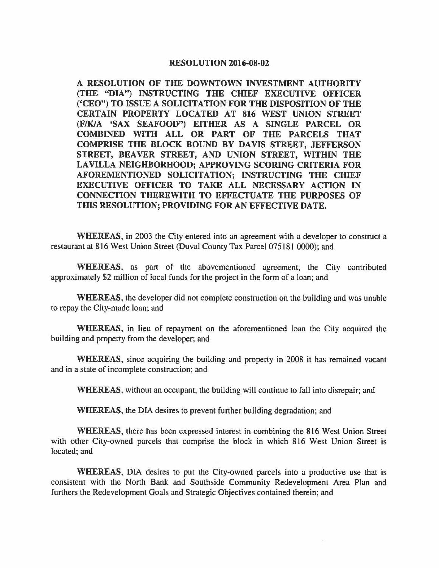## **RESOLUTION 2016-08-02**

**A RESOLUTION OF THE DOWNTOWN INVESTMENT AUTHORITY (THE "DIA")** INSTRUCTING THE cmEF EXECUTIVE OFFICER **('CEO") TO ISSUE A SOLICITATION FOR THE DISPOSITION OF THE CERTAIN PROPERTY LOCATED AT 816 WEST UNION STREET (F/K/A 'SAX SEAFOOD") EITHER AS A SINGLE PARCEL OR COMBINED WITH ALL OR PART OF THE PARCELS THAT COMPRISE THE BLOCK BOUND BY DAVIS STREET, JEFFERSON**  STREET, BEAVER STREET, AND UNION STREET, WITHIN THE **LA VILLA NEIGHBORHOOD; APPROVING SCORING CRITERIA FOR AFOREMENTIONED SOLICITATION; INSTRUCTING THE CHIEF EXECUTIVE OFFICER TO TAKE ALL NECESSARY ACTION IN CONNECTION THEREWITH TO EFFECTUATE THE PURPOSES OF THIS RESOLUTION; PROVIDING FOR AN EFFECTIVE DATE.** 

**WHEREAS,** in 2003 the City entered into an agreement with a developer to construct a restaurant at 816 West Union Street (Duval County Tax Parcel 075181 0000); and

**WHEREAS,** as part of the abovementioned agreement, the City contributed approximately \$2 million of local funds for the project in the form of a loan; and

**WHEREAS,** the developer did not complete construction on the building and was unable to repay the City-made loan; and

**WHEREAS,** in lieu of repayment on the aforementioned loan the City acquired the building and property from the developer; and

**WHEREAS,** since acquiring the building and property in 2008 it has remained vacant and in a state of incomplete construction; and

**WHEREAS,** without an occupant, the building will continue to fall into disrepair; and

**WHEREAS,** the DIA desires to prevent further building degradation; and

**WHEREAS,** there has been expressed interest in combining the 816 West Union Street with other City-owned parcels that comprise the block in which 816 West Union Street is located; and

**WHEREAS,** DIA desires to put the City-owned parcels into a productive use that is consistent with the North Bank and Southside Community Redevelopment Area Plan and furthers the Redevelopment Goals and Strategic Objectives contained therein; and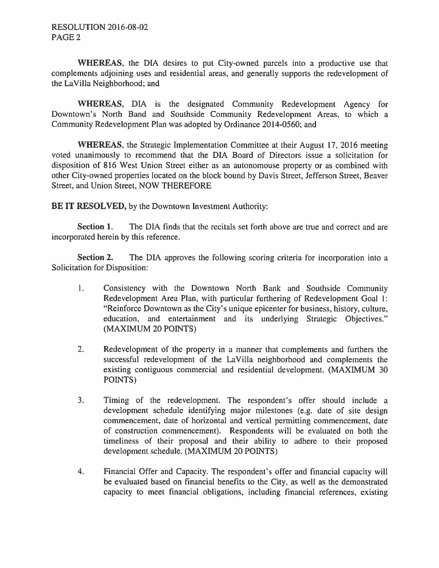**WHEREAS,** the DIA desires to put City-owned parcels into a productive use that complements adjoining uses and residential areas, and generally supports the redevelopment of the LaVilla Neighborhood; and

**WHEREAS,** DIA is the designated Community Redevelopment Agency for Downtown's North Band and Southside Community Redevelopment Areas, to which a Community Redevelopment Plan was adopted by Ordinance 2014-0560; and

**WHEREAS,** the Strategic Implementation Committee at their August 17, 2016 meeting voted unanimously to recommend that the DIA Board of Directors issue a solicitation for disposition of 816 West Union Street either as an autonomouse property or as combined with other City-owned properties located on the block bound by Davis Street, Jefferson Street, Beaver Street, and Union Street, NOW THEREFORE

**BE IT RESOLVED,** by the Downtown Investment Authority:

**Section 1.** The DIA finds that the recitals set forth above are true and correct and are incorporated herein by this reference.

**Section 2.** The DIA approves the following scoring criteria for incorporation into a Solicitation for Disposition:

- 1. Consistency with the Downtown North Bank and Southside Community Redevelopment Area Plan, with particular furthering of Redevelopment Goal 1: "Reinforce Downtown as the City's unique epicenter for business, history, culture, education, and entertainment and its underlying Strategic Objectives." (MAXIMUM 20 POINTS)
- 2. Redevelopment of the property in a manner that complements and furthers the successful redevelopment of the LaVilla neighborhood and complements the existing contiguous commercial and residential development. **(MAXIMUM** 30 POINTS)
- 3. Timing of the redevelopment. The respondent's offer should include a development schedule identifying major milestones (e.g. date of site design commencement, date of horizontal and vertical permitting commencement, date of construction commencement). Respondents will be evaluated on both the timeliness of their proposal and their ability to adhere to their proposed development schedule. **(MAXIMUM** 20 POINTS)
- 4. Financial Offer and Capacity. The respondent's offer and financial capacity will be evaluated based on financial benefits to the City, as well as the demonstrated capacity to meet financial obligations, including financial references, existing